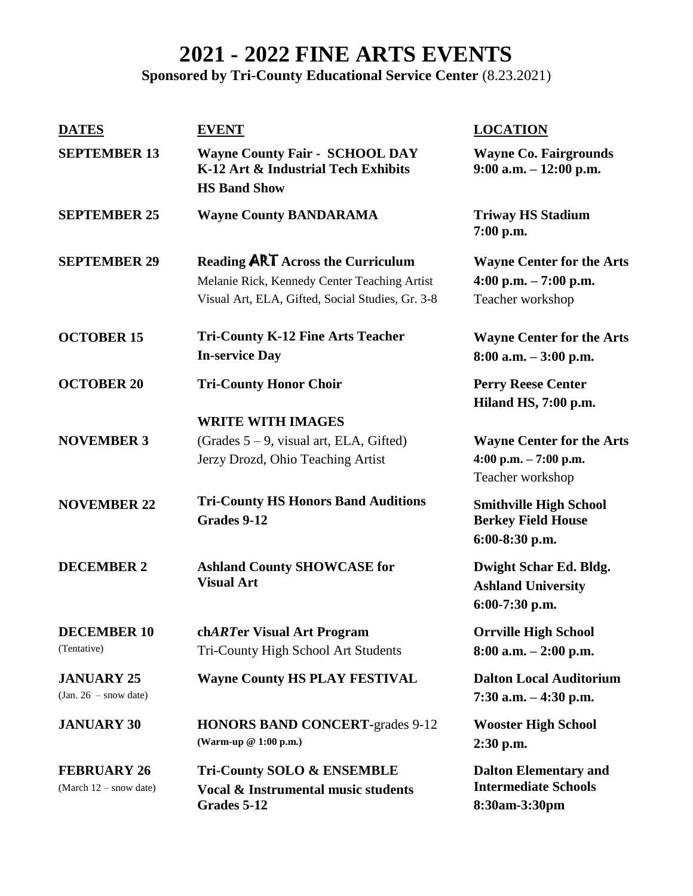## **2021 - 2022 FINE ARTS EVENTS**

## **Sponsored by Tri-County Educational Service Center** (8.23.2021)

| <b>DATES</b>                                   | <b>EVENT</b>                                                                                                                                 | <b>LOCATION</b>                                                                 |
|------------------------------------------------|----------------------------------------------------------------------------------------------------------------------------------------------|---------------------------------------------------------------------------------|
| <b>SEPTEMBER 13</b>                            | <b>Wayne County Fair - SCHOOL DAY</b><br>K-12 Art & Industrial Tech Exhibits<br><b>HS Band Show</b>                                          | <b>Wayne Co. Fairgrounds</b><br>$9:00$ a.m. $-12:00$ p.m.                       |
| <b>SEPTEMBER 25</b>                            | <b>Wayne County BANDARAMA</b>                                                                                                                | <b>Triway HS Stadium</b><br>7:00 p.m.                                           |
| <b>SEPTEMBER 29</b>                            | <b>Reading ART</b> Across the Curriculum<br>Melanie Rick, Kennedy Center Teaching Artist<br>Visual Art, ELA, Gifted, Social Studies, Gr. 3-8 | <b>Wayne Center for the Arts</b><br>4:00 p.m. $-7:00$ p.m.<br>Teacher workshop  |
| <b>OCTOBER 15</b>                              | <b>Tri-County K-12 Fine Arts Teacher</b><br><b>In-service Day</b>                                                                            | <b>Wayne Center for the Arts</b><br>$8:00$ a.m. $-3:00$ p.m.                    |
| <b>OCTOBER 20</b>                              | <b>Tri-County Honor Choir</b>                                                                                                                | <b>Perry Reese Center</b><br>Hiland HS, 7:00 p.m.                               |
| <b>NOVEMBER 3</b>                              | <b>WRITE WITH IMAGES</b><br>(Grades $5 - 9$ , visual art, ELA, Gifted)<br>Jerzy Drozd, Ohio Teaching Artist                                  | <b>Wayne Center for the Arts</b><br>4:00 p.m. $- 7:00$ p.m.<br>Teacher workshop |
| <b>NOVEMBER 22</b>                             | <b>Tri-County HS Honors Band Auditions</b><br>Grades 9-12                                                                                    | <b>Smithville High School</b><br><b>Berkey Field House</b><br>6:00-8:30 p.m.    |
| <b>DECEMBER 2</b>                              | <b>Ashland County SHOWCASE for</b><br><b>Visual Art</b>                                                                                      | Dwight Schar Ed. Bldg.<br><b>Ashland University</b><br>6:00-7:30 p.m.           |
| <b>DECEMBER 10</b><br>(Tentative)              | chARTer Visual Art Program<br>Tri-County High School Art Students                                                                            | <b>Orrville High School</b><br>$8:00$ a.m. $-2:00$ p.m.                         |
| <b>JANUARY 25</b><br>$(Jan. 26 - snow date)$   | <b>Wayne County HS PLAY FESTIVAL</b>                                                                                                         | <b>Dalton Local Auditorium</b><br>$7:30$ a.m. $-4:30$ p.m.                      |
| <b>JANUARY 30</b>                              | <b>HONORS BAND CONCERT-grades 9-12</b><br>(Warm-up @ 1:00 p.m.)                                                                              | <b>Wooster High School</b><br>2:30 p.m.                                         |
| <b>FEBRUARY 26</b><br>(March $12$ – snow date) | <b>Tri-County SOLO &amp; ENSEMBLE</b><br><b>Vocal &amp; Instrumental music students</b><br>Grades 5-12                                       | <b>Dalton Elementary and</b><br><b>Intermediate Schools</b><br>8:30am-3:30pm    |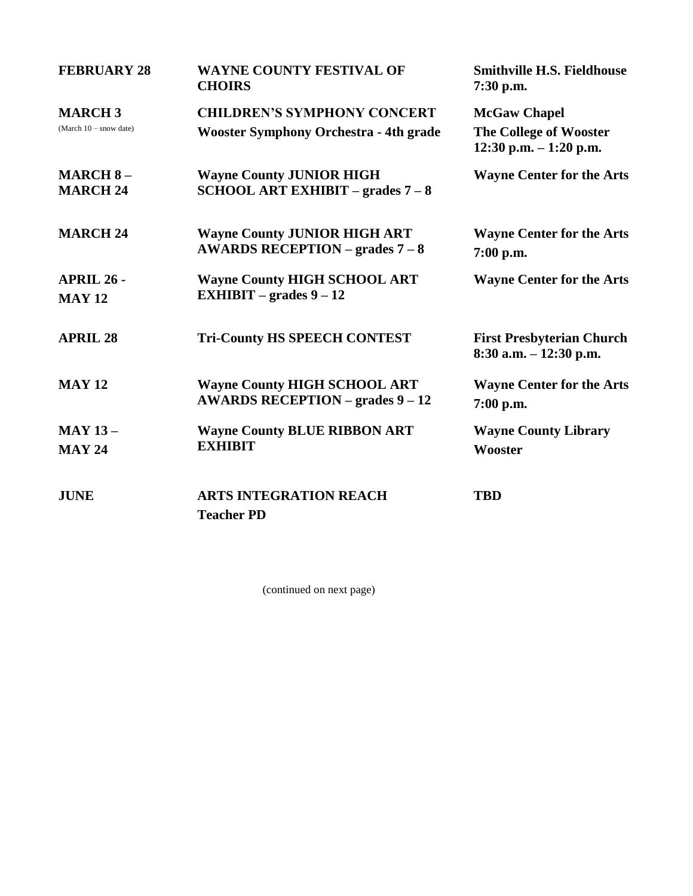| <b>FEBRUARY 28</b>                        | <b>WAYNE COUNTY FESTIVAL OF</b><br><b>CHOIRS</b>                                       | <b>Smithville H.S. Fieldhouse</b><br>$7:30$ p.m.                           |
|-------------------------------------------|----------------------------------------------------------------------------------------|----------------------------------------------------------------------------|
| <b>MARCH3</b><br>(March $10 -$ snow date) | <b>CHILDREN'S SYMPHONY CONCERT</b><br><b>Wooster Symphony Orchestra - 4th grade</b>    | <b>McGaw Chapel</b><br>The College of Wooster<br>$12:30$ p.m. $-1:20$ p.m. |
| <b>MARCH 8-</b><br><b>MARCH 24</b>        | <b>Wayne County JUNIOR HIGH</b><br><b>SCHOOL ART EXHIBIT – grades <math>7-8</math></b> | <b>Wayne Center for the Arts</b>                                           |
| <b>MARCH 24</b>                           | <b>Wayne County JUNIOR HIGH ART</b><br><b>AWARDS RECEPTION – grades 7 – 8</b>          | <b>Wayne Center for the Arts</b><br>7:00 p.m.                              |
| <b>APRIL 26 -</b><br><b>MAY 12</b>        | <b>Wayne County HIGH SCHOOL ART</b><br>EXHIBIT – grades $9-12$                         | <b>Wayne Center for the Arts</b>                                           |
| <b>APRIL 28</b>                           | <b>Tri-County HS SPEECH CONTEST</b>                                                    | <b>First Presbyterian Church</b><br>$8:30$ a.m. $-12:30$ p.m.              |
| <b>MAY 12</b>                             | <b>Wayne County HIGH SCHOOL ART</b><br><b>AWARDS RECEPTION - grades 9 - 12</b>         | <b>Wayne Center for the Arts</b><br>7:00 p.m.                              |
| <b>MAY 13-</b><br><b>MAY 24</b>           | <b>Wayne County BLUE RIBBON ART</b><br><b>EXHIBIT</b>                                  | <b>Wayne County Library</b><br>Wooster                                     |
| <b>JUNE</b>                               | <b>ARTS INTEGRATION REACH</b><br><b>Teacher PD</b>                                     | <b>TBD</b>                                                                 |

(continued on next page)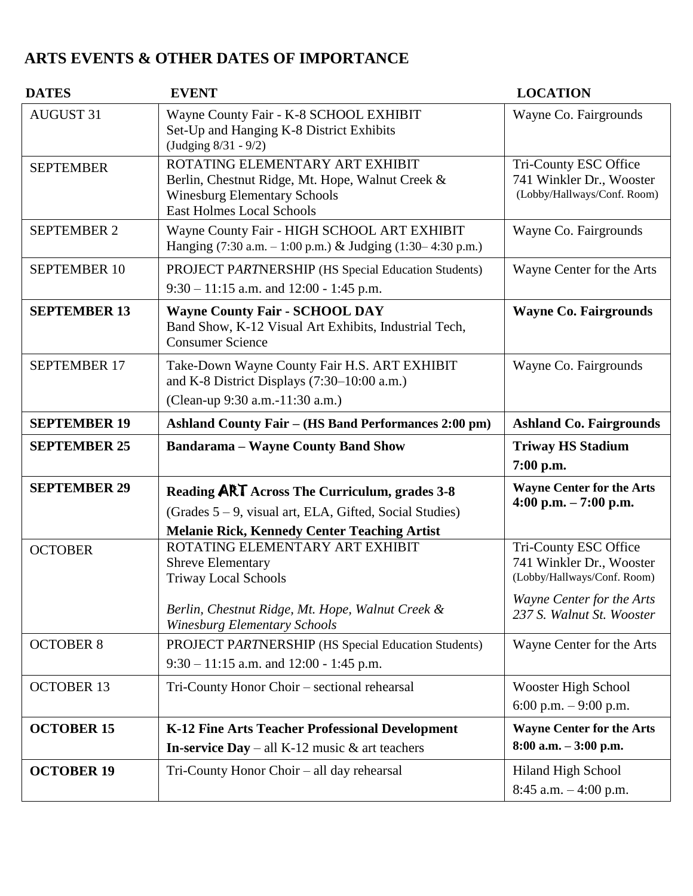## **ARTS EVENTS & OTHER DATES OF IMPORTANCE**

| <b>DATES</b>        | <b>EVENT</b>                                                                                                                                                       | <b>LOCATION</b>                                                                                                                            |
|---------------------|--------------------------------------------------------------------------------------------------------------------------------------------------------------------|--------------------------------------------------------------------------------------------------------------------------------------------|
| <b>AUGUST 31</b>    | Wayne County Fair - K-8 SCHOOL EXHIBIT<br>Set-Up and Hanging K-8 District Exhibits<br>(Judging 8/31 - 9/2)                                                         | Wayne Co. Fairgrounds                                                                                                                      |
| <b>SEPTEMBER</b>    | ROTATING ELEMENTARY ART EXHIBIT<br>Berlin, Chestnut Ridge, Mt. Hope, Walnut Creek &<br><b>Winesburg Elementary Schools</b><br><b>East Holmes Local Schools</b>     | Tri-County ESC Office<br>741 Winkler Dr., Wooster<br>(Lobby/Hallways/Conf. Room)                                                           |
| <b>SEPTEMBER 2</b>  | Wayne County Fair - HIGH SCHOOL ART EXHIBIT<br>Hanging $(7:30 \text{ a.m.} - 1:00 \text{ p.m.})$ & Judging $(1:30 - 4:30 \text{ p.m.})$                            | Wayne Co. Fairgrounds                                                                                                                      |
| <b>SEPTEMBER 10</b> | PROJECT PARTNERSHIP (HS Special Education Students)<br>$9:30 - 11:15$ a.m. and 12:00 - 1:45 p.m.                                                                   | Wayne Center for the Arts                                                                                                                  |
| <b>SEPTEMBER 13</b> | <b>Wayne County Fair - SCHOOL DAY</b><br>Band Show, K-12 Visual Art Exhibits, Industrial Tech,<br><b>Consumer Science</b>                                          | <b>Wayne Co. Fairgrounds</b>                                                                                                               |
| <b>SEPTEMBER 17</b> | Take-Down Wayne County Fair H.S. ART EXHIBIT<br>and K-8 District Displays $(7:30-10:00$ a.m.)<br>(Clean-up 9:30 a.m.-11:30 a.m.)                                   | Wayne Co. Fairgrounds                                                                                                                      |
| <b>SEPTEMBER 19</b> | <b>Ashland County Fair – (HS Band Performances 2:00 pm)</b>                                                                                                        | <b>Ashland Co. Fairgrounds</b>                                                                                                             |
| <b>SEPTEMBER 25</b> | <b>Bandarama - Wayne County Band Show</b>                                                                                                                          | <b>Triway HS Stadium</b><br>7:00 p.m.                                                                                                      |
| <b>SEPTEMBER 29</b> | Reading ART Across The Curriculum, grades 3-8<br>(Grades $5 - 9$ , visual art, ELA, Gifted, Social Studies)<br><b>Melanie Rick, Kennedy Center Teaching Artist</b> | <b>Wayne Center for the Arts</b><br>4:00 p.m. $-7:00$ p.m.                                                                                 |
| <b>OCTOBER</b>      | ROTATING ELEMENTARY ART EXHIBIT<br><b>Shreve Elementary</b><br><b>Triway Local Schools</b><br>Berlin, Chestnut Ridge, Mt. Hope, Walnut Creek &                     | Tri-County ESC Office<br>741 Winkler Dr., Wooster<br>(Lobby/Hallways/Conf. Room)<br>Wayne Center for the Arts<br>237 S. Walnut St. Wooster |
| <b>OCTOBER 8</b>    | <b>Winesburg Elementary Schools</b><br>PROJECT PARTNERSHIP (HS Special Education Students)                                                                         | Wayne Center for the Arts                                                                                                                  |
|                     | $9:30 - 11:15$ a.m. and 12:00 - 1:45 p.m.                                                                                                                          |                                                                                                                                            |
| <b>OCTOBER 13</b>   | Tri-County Honor Choir - sectional rehearsal                                                                                                                       | Wooster High School<br>6:00 p.m. $-$ 9:00 p.m.                                                                                             |
| <b>OCTOBER 15</b>   | K-12 Fine Arts Teacher Professional Development                                                                                                                    | <b>Wayne Center for the Arts</b>                                                                                                           |
|                     | <b>In-service Day</b> – all K-12 music $\&$ art teachers                                                                                                           | $8:00$ a.m. $-3:00$ p.m.                                                                                                                   |
| <b>OCTOBER 19</b>   | Tri-County Honor Choir - all day rehearsal                                                                                                                         |                                                                                                                                            |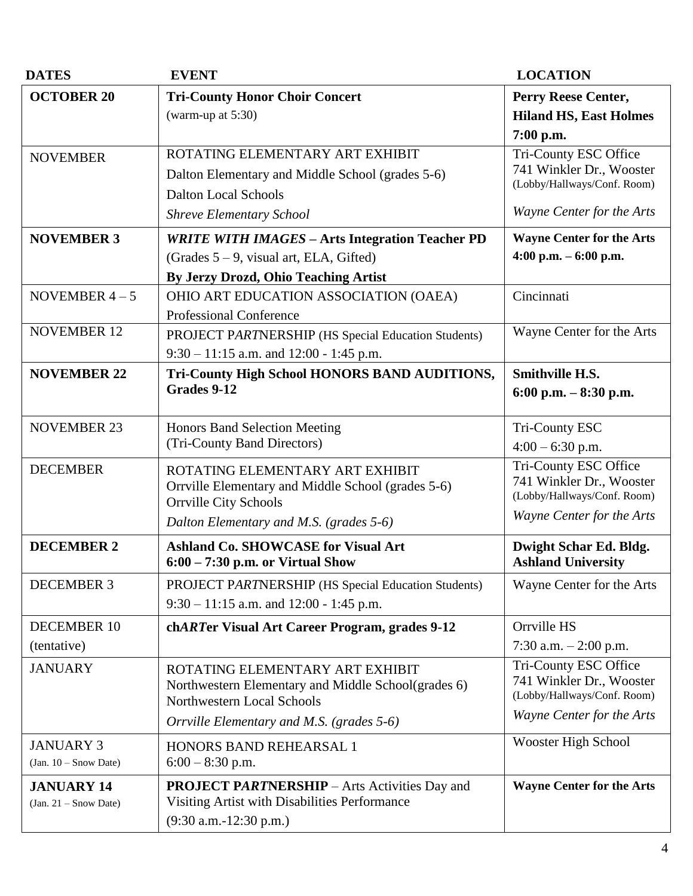| <b>DATES</b>                                 | <b>EVENT</b>                                                                                                                                 | <b>LOCATION</b>                                                                  |
|----------------------------------------------|----------------------------------------------------------------------------------------------------------------------------------------------|----------------------------------------------------------------------------------|
| <b>OCTOBER 20</b>                            | <b>Tri-County Honor Choir Concert</b><br>(warm-up at $5:30$ )                                                                                | Perry Reese Center,<br><b>Hiland HS, East Holmes</b><br>7:00 p.m.                |
| <b>NOVEMBER</b>                              | ROTATING ELEMENTARY ART EXHIBIT<br>Dalton Elementary and Middle School (grades 5-6)<br><b>Dalton Local Schools</b>                           | Tri-County ESC Office<br>741 Winkler Dr., Wooster<br>(Lobby/Hallways/Conf. Room) |
|                                              | <b>Shreve Elementary School</b>                                                                                                              | Wayne Center for the Arts                                                        |
| <b>NOVEMBER 3</b>                            | <b>WRITE WITH IMAGES - Arts Integration Teacher PD</b><br>(Grades $5 - 9$ , visual art, ELA, Gifted)<br>By Jerzy Drozd, Ohio Teaching Artist | <b>Wayne Center for the Arts</b><br>4:00 p.m. $-6:00$ p.m.                       |
| NOVEMBER $4-5$                               | OHIO ART EDUCATION ASSOCIATION (OAEA)<br><b>Professional Conference</b>                                                                      | Cincinnati                                                                       |
| <b>NOVEMBER 12</b>                           | PROJECT PARTNERSHIP (HS Special Education Students)<br>$9:30 - 11:15$ a.m. and 12:00 - 1:45 p.m.                                             | Wayne Center for the Arts                                                        |
| <b>NOVEMBER 22</b>                           | Tri-County High School HONORS BAND AUDITIONS,<br>Grades 9-12                                                                                 | <b>Smithville H.S.</b><br>6:00 p.m. $-8:30$ p.m.                                 |
| <b>NOVEMBER 23</b>                           | <b>Honors Band Selection Meeting</b><br>(Tri-County Band Directors)                                                                          | <b>Tri-County ESC</b><br>$4:00 - 6:30$ p.m.                                      |
| <b>DECEMBER</b>                              | ROTATING ELEMENTARY ART EXHIBIT<br>Orrville Elementary and Middle School (grades 5-6)<br><b>Orrville City Schools</b>                        | Tri-County ESC Office<br>741 Winkler Dr., Wooster<br>(Lobby/Hallways/Conf. Room) |
|                                              | Dalton Elementary and M.S. (grades 5-6)                                                                                                      | Wayne Center for the Arts                                                        |
| <b>DECEMBER 2</b>                            | <b>Ashland Co. SHOWCASE for Visual Art</b><br>$6:00 - 7:30$ p.m. or Virtual Show                                                             | Dwight Schar Ed. Bldg.<br><b>Ashland University</b>                              |
| <b>DECEMBER 3</b>                            | PROJECT PARTNERSHIP (HS Special Education Students)<br>$9:30 - 11:15$ a.m. and 12:00 - 1:45 p.m.                                             | Wayne Center for the Arts                                                        |
| <b>DECEMBER 10</b><br>(tentative)            | chARTer Visual Art Career Program, grades 9-12                                                                                               | Orrville HS<br>7:30 a.m. $-2:00$ p.m.                                            |
| <b>JANUARY</b>                               | ROTATING ELEMENTARY ART EXHIBIT<br>Northwestern Elementary and Middle School(grades 6)<br>Northwestern Local Schools                         | Tri-County ESC Office<br>741 Winkler Dr., Wooster<br>(Lobby/Hallways/Conf. Room) |
|                                              | Orrville Elementary and M.S. (grades 5-6)                                                                                                    | Wayne Center for the Arts                                                        |
| <b>JANUARY 3</b><br>$(Jan. 10 - Snow Date)$  | HONORS BAND REHEARSAL 1<br>$6:00 - 8:30$ p.m.                                                                                                | Wooster High School                                                              |
| <b>JANUARY 14</b><br>$(Jan. 21 - Snow Date)$ | <b>PROJECT PARTNERSHIP</b> – Arts Activities Day and<br>Visiting Artist with Disabilities Performance<br>$(9:30$ a.m.-12:30 p.m.)            | <b>Wayne Center for the Arts</b>                                                 |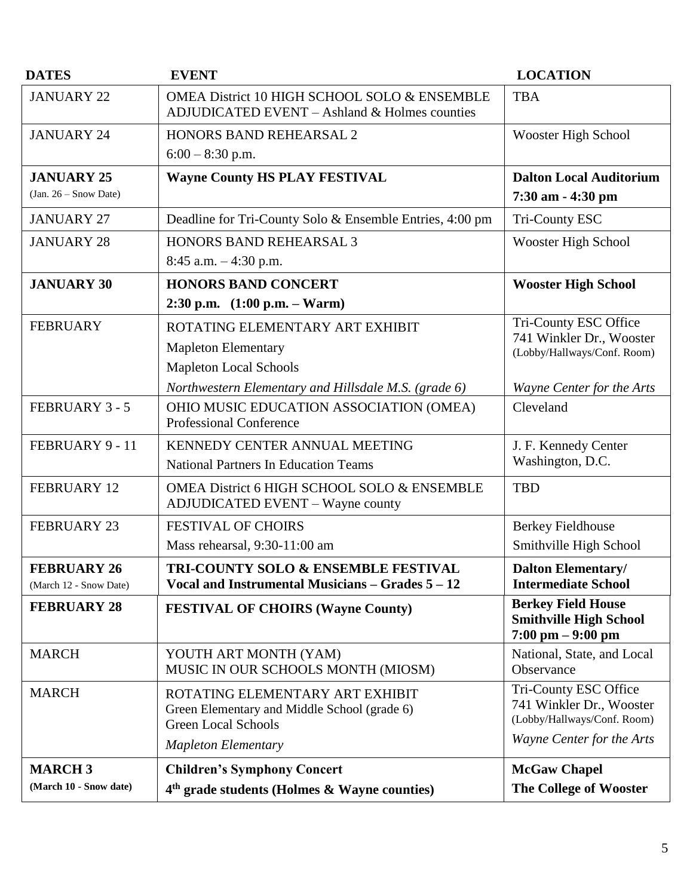| <b>DATES</b>            | <b>EVENT</b>                                                                                                  | <b>LOCATION</b>                                                                                   |
|-------------------------|---------------------------------------------------------------------------------------------------------------|---------------------------------------------------------------------------------------------------|
| <b>JANUARY 22</b>       | OMEA District 10 HIGH SCHOOL SOLO & ENSEMBLE<br>ADJUDICATED EVENT - Ashland & Holmes counties                 | <b>TBA</b>                                                                                        |
| <b>JANUARY 24</b>       | <b>HONORS BAND REHEARSAL 2</b>                                                                                | Wooster High School                                                                               |
|                         | $6:00 - 8:30$ p.m.                                                                                            |                                                                                                   |
| <b>JANUARY 25</b>       | <b>Wayne County HS PLAY FESTIVAL</b>                                                                          | <b>Dalton Local Auditorium</b>                                                                    |
| $(Jan. 26 - Snow Date)$ |                                                                                                               | 7:30 am - 4:30 pm                                                                                 |
| <b>JANUARY 27</b>       | Deadline for Tri-County Solo & Ensemble Entries, 4:00 pm                                                      | Tri-County ESC                                                                                    |
| <b>JANUARY 28</b>       | <b>HONORS BAND REHEARSAL 3</b>                                                                                | Wooster High School                                                                               |
|                         | $8:45$ a.m. $-4:30$ p.m.                                                                                      |                                                                                                   |
| <b>JANUARY 30</b>       | <b>HONORS BAND CONCERT</b>                                                                                    | <b>Wooster High School</b>                                                                        |
|                         | 2:30 p.m. $(1:00 \text{ p.m.} - \text{Warm})$                                                                 |                                                                                                   |
| <b>FEBRUARY</b>         | ROTATING ELEMENTARY ART EXHIBIT                                                                               | Tri-County ESC Office                                                                             |
|                         | <b>Mapleton Elementary</b>                                                                                    | 741 Winkler Dr., Wooster<br>(Lobby/Hallways/Conf. Room)                                           |
|                         | <b>Mapleton Local Schools</b>                                                                                 |                                                                                                   |
|                         | Northwestern Elementary and Hillsdale M.S. (grade 6)                                                          | Wayne Center for the Arts                                                                         |
| <b>FEBRUARY 3 - 5</b>   | OHIO MUSIC EDUCATION ASSOCIATION (OMEA)<br><b>Professional Conference</b>                                     | Cleveland                                                                                         |
| FEBRUARY 9 - 11         | KENNEDY CENTER ANNUAL MEETING                                                                                 | J. F. Kennedy Center                                                                              |
|                         | <b>National Partners In Education Teams</b>                                                                   | Washington, D.C.                                                                                  |
| <b>FEBRUARY 12</b>      | OMEA District 6 HIGH SCHOOL SOLO & ENSEMBLE<br><b>ADJUDICATED EVENT - Wayne county</b>                        | <b>TBD</b>                                                                                        |
| <b>FEBRUARY 23</b>      | <b>FESTIVAL OF CHOIRS</b>                                                                                     | <b>Berkey Fieldhouse</b>                                                                          |
|                         | Mass rehearsal, 9:30-11:00 am                                                                                 | Smithville High School                                                                            |
| <b>FEBRUARY 26</b>      | <b>TRI-COUNTY SOLO &amp; ENSEMBLE FESTIVAL</b>                                                                | <b>Dalton Elementary/</b>                                                                         |
| (March 12 - Snow Date)  | Vocal and Instrumental Musicians $-$ Grades $5 - 12$                                                          | <b>Intermediate School</b>                                                                        |
| <b>FEBRUARY 28</b>      | <b>FESTIVAL OF CHOIRS (Wayne County)</b>                                                                      | <b>Berkey Field House</b><br><b>Smithville High School</b><br>$7:00 \text{ pm} - 9:00 \text{ pm}$ |
| <b>MARCH</b>            | YOUTH ART MONTH (YAM)<br>MUSIC IN OUR SCHOOLS MONTH (MIOSM)                                                   | National, State, and Local<br>Observance                                                          |
| <b>MARCH</b>            | ROTATING ELEMENTARY ART EXHIBIT<br>Green Elementary and Middle School (grade 6)<br><b>Green Local Schools</b> | Tri-County ESC Office<br>741 Winkler Dr., Wooster<br>(Lobby/Hallways/Conf. Room)                  |
|                         | <b>Mapleton Elementary</b>                                                                                    | Wayne Center for the Arts                                                                         |
| <b>MARCH3</b>           | <b>Children's Symphony Concert</b>                                                                            | <b>McGaw Chapel</b>                                                                               |
| (March 10 - Snow date)  | 4 <sup>th</sup> grade students (Holmes & Wayne counties)                                                      | The College of Wooster                                                                            |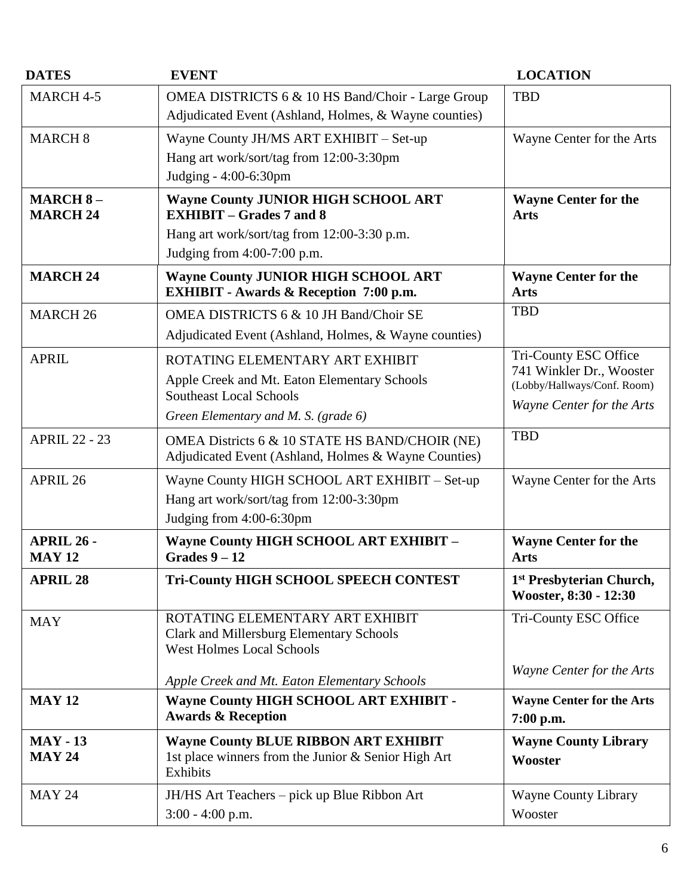| <b>DATES</b>                       | <b>EVENT</b>                                                                                                                                                  | <b>LOCATION</b>                                                                                               |
|------------------------------------|---------------------------------------------------------------------------------------------------------------------------------------------------------------|---------------------------------------------------------------------------------------------------------------|
| MARCH 4-5                          | OMEA DISTRICTS 6 & 10 HS Band/Choir - Large Group<br>Adjudicated Event (Ashland, Holmes, & Wayne counties)                                                    | <b>TBD</b>                                                                                                    |
| <b>MARCH 8</b>                     | Wayne County JH/MS ART EXHIBIT - Set-up<br>Hang art work/sort/tag from 12:00-3:30pm<br>Judging - 4:00-6:30pm                                                  | Wayne Center for the Arts                                                                                     |
| <b>MARCH 8-</b><br><b>MARCH 24</b> | <b>Wayne County JUNIOR HIGH SCHOOL ART</b><br><b>EXHIBIT – Grades 7 and 8</b><br>Hang art work/sort/tag from 12:00-3:30 p.m.<br>Judging from $4:00-7:00$ p.m. | <b>Wayne Center for the</b><br><b>Arts</b>                                                                    |
| <b>MARCH 24</b>                    | <b>Wayne County JUNIOR HIGH SCHOOL ART</b><br><b>EXHIBIT - Awards &amp; Reception 7:00 p.m.</b>                                                               | <b>Wayne Center for the</b><br><b>Arts</b>                                                                    |
| <b>MARCH 26</b>                    | OMEA DISTRICTS 6 & 10 JH Band/Choir SE<br>Adjudicated Event (Ashland, Holmes, & Wayne counties)                                                               | <b>TBD</b>                                                                                                    |
| <b>APRIL</b>                       | ROTATING ELEMENTARY ART EXHIBIT<br>Apple Creek and Mt. Eaton Elementary Schools<br><b>Southeast Local Schools</b><br>Green Elementary and M. S. (grade 6)     | Tri-County ESC Office<br>741 Winkler Dr., Wooster<br>(Lobby/Hallways/Conf. Room)<br>Wayne Center for the Arts |
| <b>APRIL 22 - 23</b>               | OMEA Districts 6 & 10 STATE HS BAND/CHOIR (NE)<br>Adjudicated Event (Ashland, Holmes & Wayne Counties)                                                        | <b>TBD</b>                                                                                                    |
| APRIL 26                           | Wayne County HIGH SCHOOL ART EXHIBIT - Set-up<br>Hang art work/sort/tag from 12:00-3:30pm<br>Judging from 4:00-6:30pm                                         | Wayne Center for the Arts                                                                                     |
| <b>APRIL 26 -</b><br><b>MAY 12</b> | <b>Wayne County HIGH SCHOOL ART EXHIBIT -</b><br>Grades $9-12$                                                                                                | <b>Wayne Center for the</b><br><b>Arts</b>                                                                    |
| <b>APRIL 28</b>                    | <b>Tri-County HIGH SCHOOL SPEECH CONTEST</b>                                                                                                                  | 1 <sup>st</sup> Presbyterian Church,<br>Wooster, 8:30 - 12:30                                                 |
| <b>MAY</b>                         | ROTATING ELEMENTARY ART EXHIBIT<br><b>Clark and Millersburg Elementary Schools</b><br><b>West Holmes Local Schools</b>                                        | Tri-County ESC Office                                                                                         |
|                                    | Apple Creek and Mt. Eaton Elementary Schools                                                                                                                  | Wayne Center for the Arts                                                                                     |
| <b>MAY 12</b>                      | <b>Wayne County HIGH SCHOOL ART EXHIBIT -</b><br><b>Awards &amp; Reception</b>                                                                                | <b>Wayne Center for the Arts</b><br>7:00 p.m.                                                                 |
| <b>MAY - 13</b><br><b>MAY 24</b>   | <b>Wayne County BLUE RIBBON ART EXHIBIT</b><br>1st place winners from the Junior & Senior High Art<br>Exhibits                                                | <b>Wayne County Library</b><br>Wooster                                                                        |
| <b>MAY 24</b>                      | JH/HS Art Teachers – pick up Blue Ribbon Art<br>$3:00 - 4:00$ p.m.                                                                                            | <b>Wayne County Library</b><br>Wooster                                                                        |